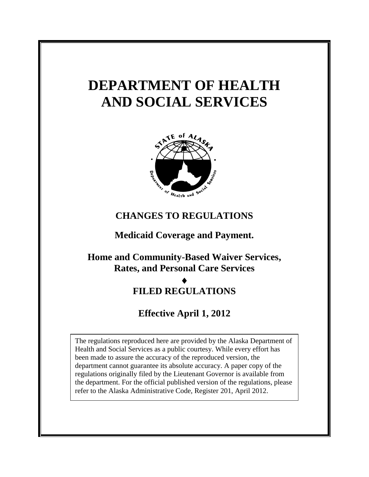# **DEPARTMENT OF HEALTH AND SOCIAL SERVICES**



### **CHANGES TO REGULATIONS**

**Medicaid Coverage and Payment.**

**Home and Community-Based Waiver Services, Rates, and Personal Care Services**

### $\blacklozenge$

### **FILED REGULATIONS**

## **Effective April 1, 2012**

The regulations reproduced here are provided by the Alaska Department of Health and Social Services as a public courtesy. While every effort has been made to assure the accuracy of the reproduced version, the department cannot guarantee its absolute accuracy. A paper copy of the regulations originally filed by the Lieutenant Governor is available from the department. For the official published version of the regulations, please refer to the Alaska Administrative Code, Register 201, April 2012.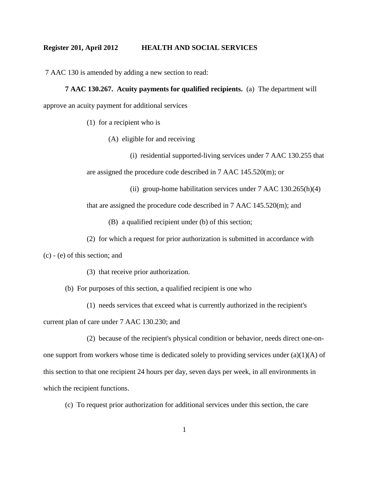7 AAC 130 is amended by adding a new section to read:

#### **7 AAC 130.267. Acuity payments for qualified recipients.** (a) The department will

approve an acuity payment for additional services

(1) for a recipient who is

(A) eligible for and receiving

(i) residential supported-living services under 7 AAC 130.255 that are assigned the procedure code described in 7 AAC 145.520(m); or

(ii) group-home habilitation services under  $7$  AAC  $130.265(h)(4)$ 

that are assigned the procedure code described in 7 AAC 145.520(m); and

(B) a qualified recipient under (b) of this section;

(2) for which a request for prior authorization is submitted in accordance with

(c) - (e) of this section; and

(3) that receive prior authorization.

(b) For purposes of this section, a qualified recipient is one who

(1) needs services that exceed what is currently authorized in the recipient's

current plan of care under 7 AAC 130.230; and

(2) because of the recipient's physical condition or behavior, needs direct one-onone support from workers whose time is dedicated solely to providing services under  $(a)(1)(A)$  of this section to that one recipient 24 hours per day, seven days per week, in all environments in which the recipient functions.

(c) To request prior authorization for additional services under this section, the care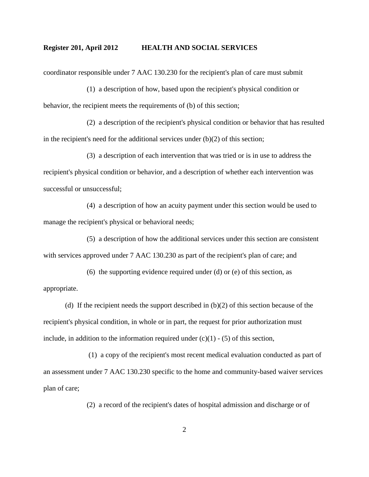coordinator responsible under 7 AAC 130.230 for the recipient's plan of care must submit

(1) a description of how, based upon the recipient's physical condition or behavior, the recipient meets the requirements of (b) of this section;

(2) a description of the recipient's physical condition or behavior that has resulted in the recipient's need for the additional services under  $(b)(2)$  of this section;

(3) a description of each intervention that was tried or is in use to address the recipient's physical condition or behavior, and a description of whether each intervention was successful or unsuccessful;

(4) a description of how an acuity payment under this section would be used to manage the recipient's physical or behavioral needs;

(5) a description of how the additional services under this section are consistent with services approved under 7 AAC 130.230 as part of the recipient's plan of care; and

(6) the supporting evidence required under (d) or (e) of this section, as appropriate.

(d) If the recipient needs the support described in  $(b)(2)$  of this section because of the recipient's physical condition, in whole or in part, the request for prior authorization must include, in addition to the information required under  $(c)(1) - (5)$  of this section,

(1) a copy of the recipient's most recent medical evaluation conducted as part of an assessment under 7 AAC 130.230 specific to the home and community-based waiver services plan of care;

(2) a record of the recipient's dates of hospital admission and discharge or of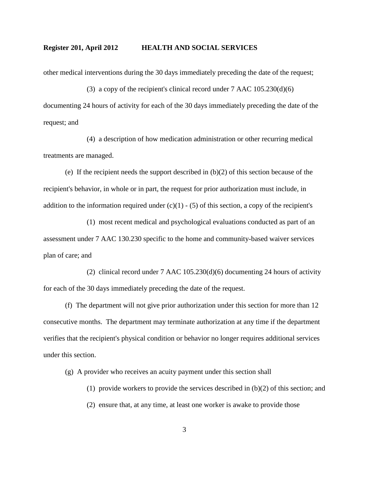other medical interventions during the 30 days immediately preceding the date of the request;

(3) a copy of the recipient's clinical record under 7 AAC 105.230(d)(6) documenting 24 hours of activity for each of the 30 days immediately preceding the date of the request; and

(4) a description of how medication administration or other recurring medical treatments are managed.

(e) If the recipient needs the support described in (b)(2) of this section because of the recipient's behavior, in whole or in part, the request for prior authorization must include, in addition to the information required under  $(c)(1) - (5)$  of this section, a copy of the recipient's

(1) most recent medical and psychological evaluations conducted as part of an assessment under 7 AAC 130.230 specific to the home and community-based waiver services plan of care; and

(2) clinical record under 7 AAC 105.230(d)(6) documenting 24 hours of activity for each of the 30 days immediately preceding the date of the request.

(f) The department will not give prior authorization under this section for more than 12 consecutive months. The department may terminate authorization at any time if the department verifies that the recipient's physical condition or behavior no longer requires additional services under this section.

(g) A provider who receives an acuity payment under this section shall

- (1) provide workers to provide the services described in  $(b)(2)$  of this section; and
- (2) ensure that, at any time, at least one worker is awake to provide those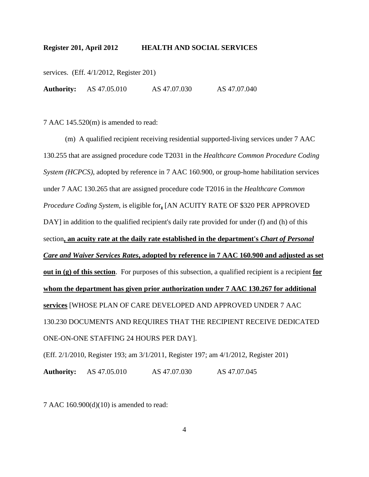services. (Eff. 4/1/2012, Register 201)

**Authority:** AS 47.05.010 AS 47.07.030 AS 47.07.040

7 AAC 145.520(m) is amended to read:

(m) A qualified recipient receiving residential supported-living services under 7 AAC 130.255 that are assigned procedure code T2031 in the *Healthcare Common Procedure Coding System (HCPCS)*, adopted by reference in 7 AAC 160.900, or group-home habilitation services under 7 AAC 130.265 that are assigned procedure code T2016 in the *Healthcare Common Procedure Coding System*, is eligible for**,** [AN ACUITY RATE OF \$320 PER APPROVED DAY] in addition to the qualified recipient's daily rate provided for under (f) and (h) of this section**, an acuity rate at the daily rate established in the department's** *Chart of Personal Care and Waiver Services Rates***, adopted by reference in 7 AAC 160.900 and adjusted as set out in (g) of this section**. For purposes of this subsection, a qualified recipient is a recipient **for whom the department has given prior authorization under 7 AAC 130.267 for additional services** [WHOSE PLAN OF CARE DEVELOPED AND APPROVED UNDER 7 AAC 130.230 DOCUMENTS AND REQUIRES THAT THE RECIPIENT RECEIVE DEDICATED ONE-ON-ONE STAFFING 24 HOURS PER DAY].

(Eff. 2/1/2010, Register 193; am 3/1/2011, Register 197; am 4/1/2012, Register 201)

**Authority:** AS 47.05.010 AS 47.07.030 AS 47.07.045

7 AAC 160.900(d)(10) is amended to read: